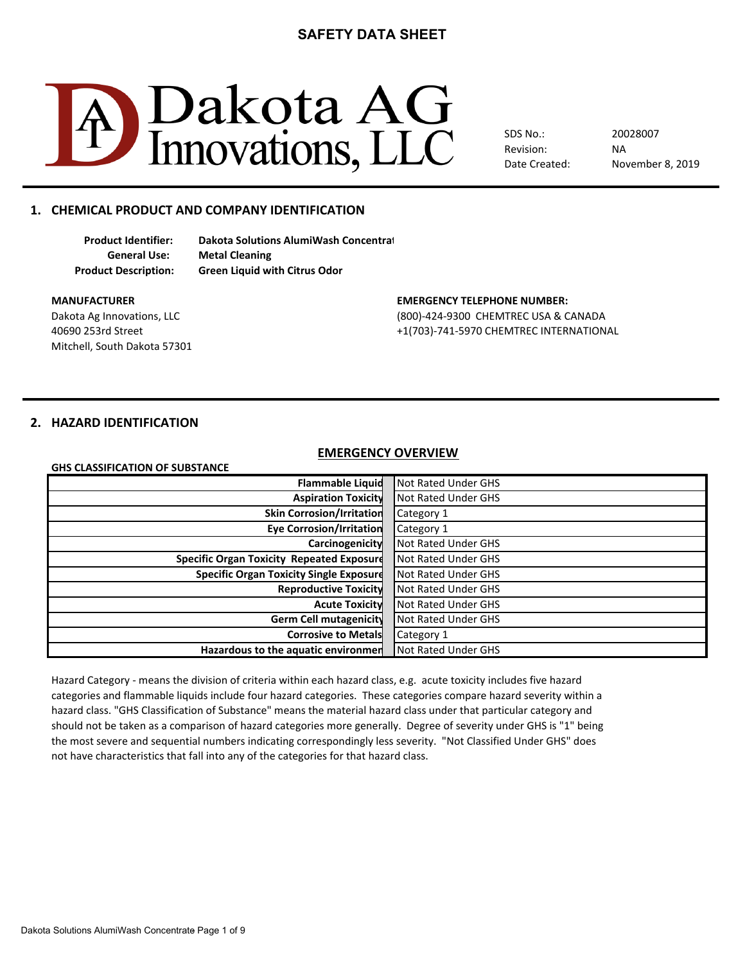

SDS No.: Revision: Date Created: NA 20028007 November 8, 2019

# **1. CHEMICAL PRODUCT AND COMPANY IDENTIFICATION**

**Product Identifier: Dakota Solutions AlumiWash Concentrat General Use: Metal Cleaning Product Description: Green Liquid with Citrus Odor**

Mitchell, South Dakota 57301

# **MANUFACTURER EMERGENCY TELEPHONE NUMBER:**

Dakota Ag Innovations, LLC (800)-424-9300 CHEMTREC USA & CANADA 40690 253rd Street +1(703)-741-5970 CHEMTREC INTERNATIONAL

# **2. HAZARD IDENTIFICATION**

#### **EMERGENCY OVERVIEW**

| <b>GHS CLASSIFICATION OF SUBSTANCE</b> |  |
|----------------------------------------|--|
|                                        |  |
|                                        |  |

**GHS CLASSIFICATION OF SUBSTANCE**

| <b>Flammable Liquid</b>                          | Not Rated Under GHS |
|--------------------------------------------------|---------------------|
| <b>Aspiration Toxicity</b>                       | Not Rated Under GHS |
| <b>Skin Corrosion/Irritation</b>                 | Category 1          |
| <b>Eye Corrosion/Irritation</b>                  | Category 1          |
| Carcinogenicity                                  | Not Rated Under GHS |
| <b>Specific Organ Toxicity Repeated Exposure</b> | Not Rated Under GHS |
| <b>Specific Organ Toxicity Single Exposure</b>   | Not Rated Under GHS |
| <b>Reproductive Toxicity</b>                     | Not Rated Under GHS |
| <b>Acute Toxicity</b>                            | Not Rated Under GHS |
| Germ Cell mutagenicity                           | Not Rated Under GHS |
| <b>Corrosive to Metals</b>                       | Category 1          |
| Hazardous to the aquatic environmen              | Not Rated Under GHS |

Hazard Category - means the division of criteria within each hazard class, e.g. acute toxicity includes five hazard hazard class. "GHS Classification of Substance" means the material hazard class under that particular category and should not be taken as a comparison of hazard categories more generally. Degree of severity under GHS is "1" being not have characteristics that fall into any of the categories for that hazard class. the most severe and sequential numbers indicating correspondingly less severity. "Not Classified Under GHS" does categories and flammable liquids include four hazard categories. These categories compare hazard severity within a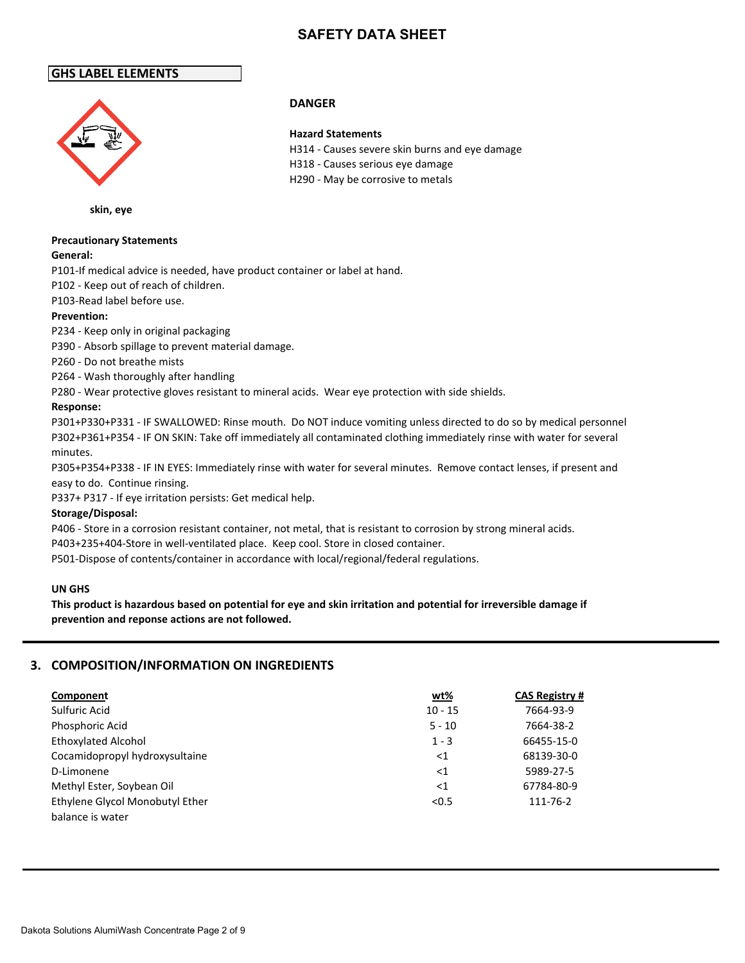H318 - Causes serious eye damage H290 - May be corrosive to metals

H314 - Causes severe skin burns and eye damage

### **GHS LABEL ELEMENTS**



**skin, eye**

# **Precautionary Statements**

#### **General:**

P101-If medical advice is needed, have product container or label at hand.

P102 - Keep out of reach of children.

### P103-Read label before use.

### **Prevention:**

P234 - Keep only in original packaging

P390 - Absorb spillage to prevent material damage.

P260 - Do not breathe mists

P264 - Wash thoroughly after handling

P280 - Wear protective gloves resistant to mineral acids. Wear eye protection with side shields.

### **Response:**

P301+P330+P331 - IF SWALLOWED: Rinse mouth. Do NOT induce vomiting unless directed to do so by medical personnel P302+P361+P354 - IF ON SKIN: Take off immediately all contaminated clothing immediately rinse with water for several minutes.

P305+P354+P338 - IF IN EYES: Immediately rinse with water for several minutes. Remove contact lenses, if present and easy to do. Continue rinsing.

P337+ P317 - If eye irritation persists: Get medical help.

### **Storage/Disposal:**

P406 - Store in a corrosion resistant container, not metal, that is resistant to corrosion by strong mineral acids.

P403+235+404-Store in well-ventilated place. Keep cool. Store in closed container.

P501-Dispose of contents/container in accordance with local/regional/federal regulations.

#### **UN GHS**

**This product is hazardous based on potential for eye and skin irritation and potential for irreversible damage if prevention and reponse actions are not followed.**

# **3. COMPOSITION/INFORMATION ON INGREDIENTS**

| Component                       | wt%       | <b>CAS Registry #</b> |
|---------------------------------|-----------|-----------------------|
| Sulfuric Acid                   | $10 - 15$ | 7664-93-9             |
| Phosphoric Acid                 | $5 - 10$  | 7664-38-2             |
| <b>Ethoxylated Alcohol</b>      | $1 - 3$   | 66455-15-0            |
| Cocamidopropyl hydroxysultaine  | ${<}1$    | 68139-30-0            |
| D-Limonene                      | ${<}1$    | 5989-27-5             |
| Methyl Ester, Soybean Oil       | ${<}1$    | 67784-80-9            |
| Ethylene Glycol Monobutyl Ether | < 0.5     | 111-76-2              |
| balance is water                |           |                       |

### **DANGER**

**Hazard Statements**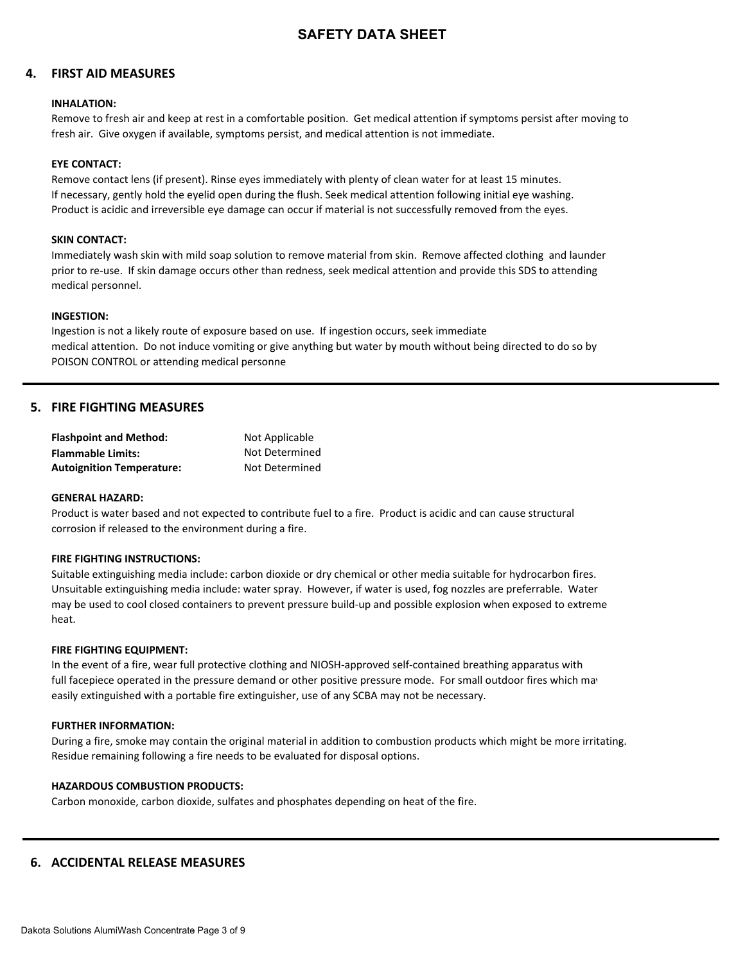### **4. FIRST AID MEASURES**

#### **INHALATION:**

Remove to fresh air and keep at rest in a comfortable position. Get medical attention if symptoms persist after moving to fresh air. Give oxygen if available, symptoms persist, and medical attention is not immediate.

#### **EYE CONTACT:**

Remove contact lens (if present). Rinse eyes immediately with plenty of clean water for at least 15 minutes. If necessary, gently hold the eyelid open during the flush. Seek medical attention following initial eye washing. Product is acidic and irreversible eye damage can occur if material is not successfully removed from the eyes.

#### **SKIN CONTACT:**

Immediately wash skin with mild soap solution to remove material from skin. Remove affected clothing and launder prior to re-use. If skin damage occurs other than redness, seek medical attention and provide this SDS to attending medical personnel.

#### **INGESTION:**

Ingestion is not a likely route of exposure based on use. If ingestion occurs, seek immediate medical attention. Do not induce vomiting or give anything but water by mouth without being directed to do so by POISON CONTROL or attending medical personne

### **5. FIRE FIGHTING MEASURES**

| <b>Flashpoint and Method:</b>    | Not Applicable |
|----------------------------------|----------------|
| Flammable Limits:                | Not Determined |
| <b>Autoignition Temperature:</b> | Not Determined |

#### **GENERAL HAZARD:**

Product is water based and not expected to contribute fuel to a fire. Product is acidic and can cause structural corrosion if released to the environment during a fire.

#### **FIRE FIGHTING INSTRUCTIONS:**

Suitable extinguishing media include: carbon dioxide or dry chemical or other media suitable for hydrocarbon fires. Unsuitable extinguishing media include: water spray. However, if water is used, fog nozzles are preferrable. Water may be used to cool closed containers to prevent pressure build-up and possible explosion when exposed to extreme heat.

#### **FIRE FIGHTING EQUIPMENT:**

In the event of a fire, wear full protective clothing and NIOSH-approved self-contained breathing apparatus with full facepiece operated in the pressure demand or other positive pressure mode. For small outdoor fires which may easily extinguished with a portable fire extinguisher, use of any SCBA may not be necessary.

#### **FURTHER INFORMATION:**

During a fire, smoke may contain the original material in addition to combustion products which might be more irritating. Residue remaining following a fire needs to be evaluated for disposal options.

#### **HAZARDOUS COMBUSTION PRODUCTS:**

Carbon monoxide, carbon dioxide, sulfates and phosphates depending on heat of the fire.

### **6. ACCIDENTAL RELEASE MEASURES**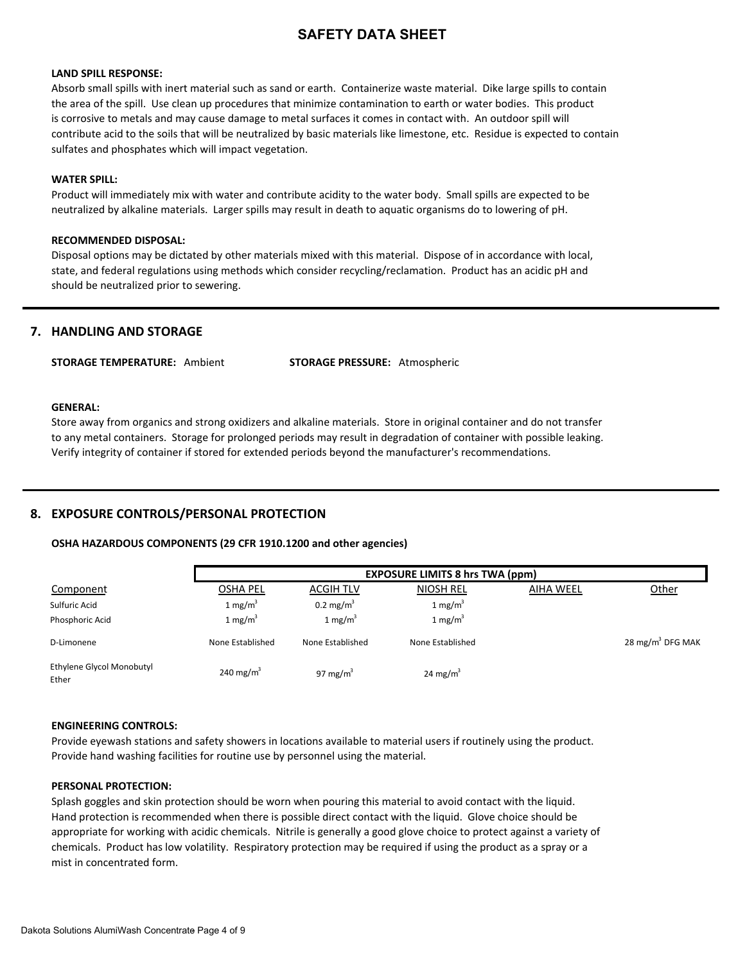#### **LAND SPILL RESPONSE:**

Absorb small spills with inert material such as sand or earth. Containerize waste material. Dike large spills to contain the area of the spill. Use clean up procedures that minimize contamination to earth or water bodies. This product is corrosive to metals and may cause damage to metal surfaces it comes in contact with. An outdoor spill will contribute acid to the soils that will be neutralized by basic materials like limestone, etc. Residue is expected to contain sulfates and phosphates which will impact vegetation.

#### **WATER SPILL:**

Product will immediately mix with water and contribute acidity to the water body. Small spills are expected to be neutralized by alkaline materials. Larger spills may result in death to aquatic organisms do to lowering of pH.

#### **RECOMMENDED DISPOSAL:**

Disposal options may be dictated by other materials mixed with this material. Dispose of in accordance with local, state, and federal regulations using methods which consider recycling/reclamation. Product has an acidic pH and should be neutralized prior to sewering.

#### **7. HANDLING AND STORAGE**

**STORAGE TEMPERATURE:** Ambient **STORAGE PRESSURE:** Atmospheric

#### **GENERAL:**

Store away from organics and strong oxidizers and alkaline materials. Store in original container and do not transfer to any metal containers. Storage for prolonged periods may result in degradation of container with possible leaking. Verify integrity of container if stored for extended periods beyond the manufacturer's recommendations.

#### **8. EXPOSURE CONTROLS/PERSONAL PROTECTION**

#### **OSHA HAZARDOUS COMPONENTS (29 CFR 1910.1200 and other agencies)**

|                                    |                       |                      | <b>EXPOSURE LIMITS 8 hrs TWA (ppm)</b> |                  |                              |
|------------------------------------|-----------------------|----------------------|----------------------------------------|------------------|------------------------------|
| Component                          | <b>OSHA PEL</b>       | <b>ACGIH TLV</b>     | <b>NIOSH REL</b>                       | <b>AIHA WEEL</b> | Other                        |
| Sulfuric Acid                      | 1 mg/m <sup>3</sup>   | $0.2 \text{ mg/m}^3$ | 1 mg/m <sup>3</sup>                    |                  |                              |
| Phosphoric Acid                    | 1 mg/m $3$            | 1 mg/m <sup>3</sup>  | 1 mg/m <sup>3</sup>                    |                  |                              |
| D-Limonene                         | None Established      | None Established     | None Established                       |                  | 28 mg/m <sup>3</sup> DFG MAK |
| Ethylene Glycol Monobutyl<br>Ether | 240 mg/m <sup>3</sup> | 97 mg/m <sup>3</sup> | 24 mg/m <sup>3</sup>                   |                  |                              |

#### **ENGINEERING CONTROLS:**

Provide eyewash stations and safety showers in locations available to material users if routinely using the product. Provide hand washing facilities for routine use by personnel using the material.

#### **PERSONAL PROTECTION:**

Splash goggles and skin protection should be worn when pouring this material to avoid contact with the liquid. Hand protection is recommended when there is possible direct contact with the liquid. Glove choice should be appropriate for working with acidic chemicals. Nitrile is generally a good glove choice to protect against a variety of chemicals. Product has low volatility. Respiratory protection may be required if using the product as a spray or a mist in concentrated form.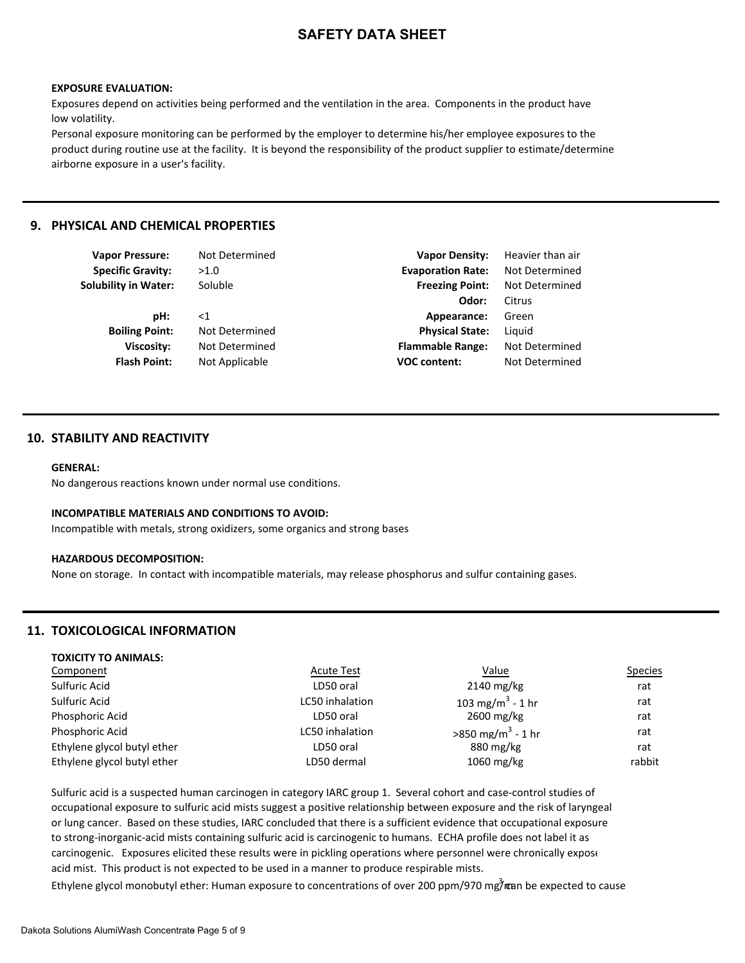#### **EXPOSURE EVALUATION:**

Exposures depend on activities being performed and the ventilation in the area. Components in the product have low volatility.

Personal exposure monitoring can be performed by the employer to determine his/her employee exposures to the product during routine use at the facility. It is beyond the responsibility of the product supplier to estimate/determine airborne exposure in a user's facility.

#### **9. PHYSICAL AND CHEMICAL PROPERTIES**

| <b>Vapor Pressure:</b>      | Not Determined | <b>Vapor Density:</b>    | Heavier than air |
|-----------------------------|----------------|--------------------------|------------------|
| <b>Specific Gravity:</b>    | >1.0           | <b>Evaporation Rate:</b> | Not Determined   |
| <b>Solubility in Water:</b> | Soluble        | <b>Freezing Point:</b>   | Not Determined   |
|                             |                | Odor:                    | Citrus           |
| pH:                         | ${<}1$         | Appearance:              | Green            |
| <b>Boiling Point:</b>       | Not Determined | <b>Physical State:</b>   | Liguid           |
| <b>Viscosity:</b>           | Not Determined | <b>Flammable Range:</b>  | Not Determined   |
| <b>Flash Point:</b>         | Not Applicable | <b>VOC content:</b>      | Not Determined   |
|                             |                |                          |                  |

### **10. STABILITY AND REACTIVITY**

#### **GENERAL:**

No dangerous reactions known under normal use conditions.

#### **INCOMPATIBLE MATERIALS AND CONDITIONS TO AVOID:**

Incompatible with metals, strong oxidizers, some organics and strong bases

#### **HAZARDOUS DECOMPOSITION:**

None on storage. In contact with incompatible materials, may release phosphorus and sulfur containing gases.

### **11. TOXICOLOGICAL INFORMATION**

**TOXICITY TO ANIMALS:**

| TUAILITT TU ANIIVIALS.      |                   |                                 |                |
|-----------------------------|-------------------|---------------------------------|----------------|
| Component                   | <b>Acute Test</b> | <u>Value</u>                    | <b>Species</b> |
| Sulfuric Acid               | LD50 oral         | $2140$ mg/kg                    | rat            |
| Sulfuric Acid               | LC50 inhalation   | 103 mg/m <sup>3</sup> - 1 hr    | rat            |
| Phosphoric Acid             | LD50 oral         | $2600 \,\mathrm{mg/kg}$         | rat            |
| Phosphoric Acid             | LC50 inhalation   | $>850$ mg/m <sup>3</sup> - 1 hr | rat            |
| Ethylene glycol butyl ether | LD50 oral         | 880 mg/kg                       | rat            |
| Ethylene glycol butyl ether | LD50 dermal       | 1060 mg/kg                      | rabbit         |
|                             |                   |                                 |                |

Sulfuric acid is a suspected human carcinogen in category IARC group 1. Several cohort and case-control studies of occupational exposure to sulfuric acid mists suggest a positive relationship between exposure and the risk of laryngeal or lung cancer. Based on these studies, IARC concluded that there is a sufficient evidence that occupational exposure to strong-inorganic-acid mists containing sulfuric acid is carcinogenic to humans. ECHA profile does not label it as carcinogenic. Exposures elicited these results were in pickling operations where personnel were chronically expose acid mist. This product is not expected to be used in a manner to produce respirable mists.

Ethylene glycol monobutyl ether: Human exposure to concentrations of over 200 ppm/970 mg7<sup>3</sup> man be expected to cause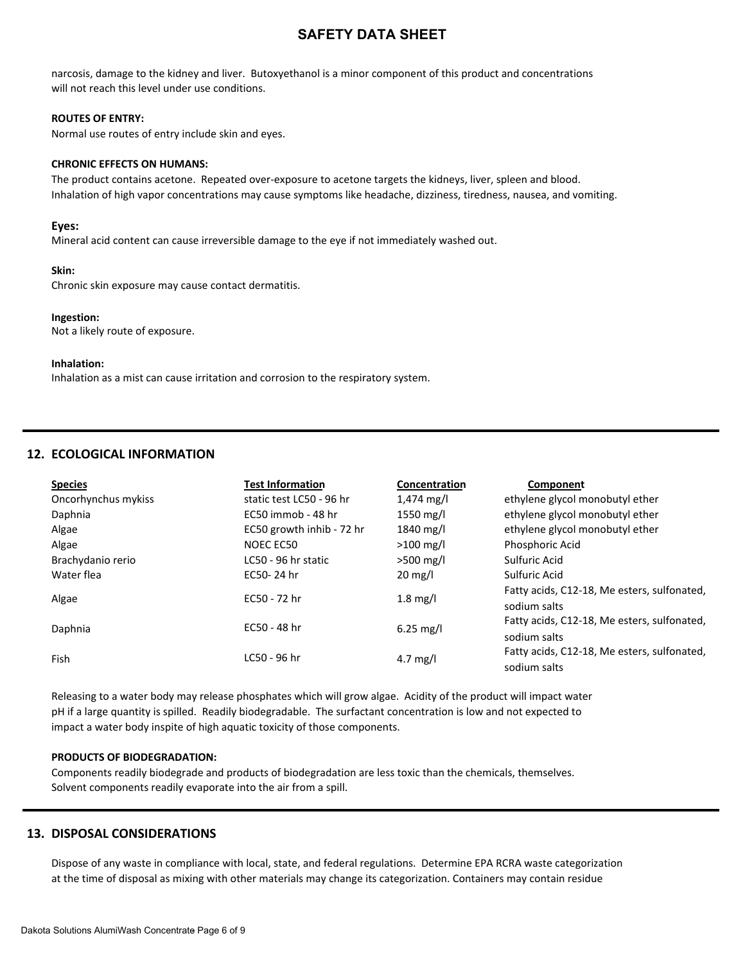narcosis, damage to the kidney and liver. Butoxyethanol is a minor component of this product and concentrations will not reach this level under use conditions.

#### **ROUTES OF ENTRY:**

Normal use routes of entry include skin and eyes.

#### **CHRONIC EFFECTS ON HUMANS:**

The product contains acetone. Repeated over-exposure to acetone targets the kidneys, liver, spleen and blood. Inhalation of high vapor concentrations may cause symptoms like headache, dizziness, tiredness, nausea, and vomiting.

#### **Eyes:**

Mineral acid content can cause irreversible damage to the eye if not immediately washed out.

#### **Skin:**

Chronic skin exposure may cause contact dermatitis.

#### **Ingestion:**

Not a likely route of exposure.

#### **Inhalation:**

Inhalation as a mist can cause irritation and corrosion to the respiratory system.

# **12. ECOLOGICAL INFORMATION**

| <b>Species</b>      | <b>Test Information</b>   | Concentration      | Component                                   |
|---------------------|---------------------------|--------------------|---------------------------------------------|
| Oncorhynchus mykiss | static test LC50 - 96 hr  | 1,474 mg/l         | ethylene glycol monobutyl ether             |
| Daphnia             | EC50 immob - 48 hr        | 1550 mg/l          | ethylene glycol monobutyl ether             |
| Algae               | EC50 growth inhib - 72 hr | 1840 mg/l          | ethylene glycol monobutyl ether             |
| Algae               | NOEC EC50                 | $>100$ mg/l        | Phosphoric Acid                             |
| Brachydanio rerio   | LC50 - 96 hr static       | $>500$ mg/l        | Sulfuric Acid                               |
| Water flea          | EC50-24 hr                | $20 \text{ mg/l}$  | Sulfuric Acid                               |
| Algae               | EC50 - 72 hr              | $1.8 \text{ mg/l}$ | Fatty acids, C12-18, Me esters, sulfonated, |
|                     |                           |                    | sodium salts                                |
| Daphnia             | EC50 - 48 hr              | $6.25$ mg/l        | Fatty acids, C12-18, Me esters, sulfonated, |
|                     |                           |                    | sodium salts                                |
| Fish                | LC50 - 96 hr              | 4.7 mg/l           | Fatty acids, C12-18, Me esters, sulfonated, |
|                     |                           |                    | sodium salts                                |

Releasing to a water body may release phosphates which will grow algae. Acidity of the product will impact water pH if a large quantity is spilled. Readily biodegradable. The surfactant concentration is low and not expected to impact a water body inspite of high aquatic toxicity of those components.

#### **PRODUCTS OF BIODEGRADATION:**

Components readily biodegrade and products of biodegradation are less toxic than the chemicals, themselves. Solvent components readily evaporate into the air from a spill.

### **13. DISPOSAL CONSIDERATIONS**

Dispose of any waste in compliance with local, state, and federal regulations. Determine EPA RCRA waste categorization at the time of disposal as mixing with other materials may change its categorization. Containers may contain residue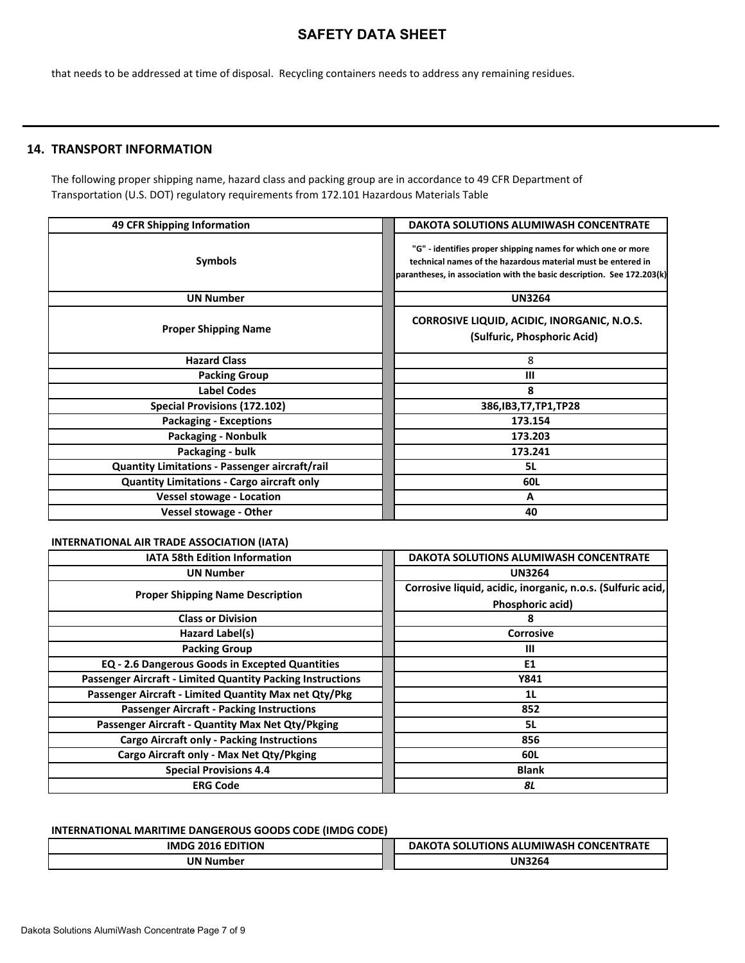that needs to be addressed at time of disposal. Recycling containers needs to address any remaining residues.

# **14. TRANSPORT INFORMATION**

The following proper shipping name, hazard class and packing group are in accordance to 49 CFR Department of Transportation (U.S. DOT) regulatory requirements from 172.101 Hazardous Materials Table

| 49 CFR Shipping Information                           | <b>DAKOTA SOLUTIONS ALUMIWASH CONCENTRATE</b>                                                                                                                                                          |
|-------------------------------------------------------|--------------------------------------------------------------------------------------------------------------------------------------------------------------------------------------------------------|
| <b>Symbols</b>                                        | "G" - identifies proper shipping names for which one or more<br>technical names of the hazardous material must be entered in<br>parantheses, in association with the basic description. See 172.203(k) |
| <b>UN Number</b>                                      | <b>UN3264</b>                                                                                                                                                                                          |
| <b>Proper Shipping Name</b>                           | <b>CORROSIVE LIQUID, ACIDIC, INORGANIC, N.O.S.</b><br>(Sulfuric, Phosphoric Acid)                                                                                                                      |
| <b>Hazard Class</b>                                   | 8                                                                                                                                                                                                      |
| <b>Packing Group</b>                                  | ш                                                                                                                                                                                                      |
| <b>Label Codes</b>                                    | 8                                                                                                                                                                                                      |
| Special Provisions (172.102)                          | 386, IB3, T7, TP1, TP28                                                                                                                                                                                |
| <b>Packaging - Exceptions</b>                         | 173.154                                                                                                                                                                                                |
| <b>Packaging - Nonbulk</b>                            | 173.203                                                                                                                                                                                                |
| Packaging - bulk                                      | 173.241                                                                                                                                                                                                |
| <b>Quantity Limitations - Passenger aircraft/rail</b> | 5L                                                                                                                                                                                                     |
| <b>Quantity Limitations - Cargo aircraft only</b>     | 60L                                                                                                                                                                                                    |
| <b>Vessel stowage - Location</b>                      | A                                                                                                                                                                                                      |
| <b>Vessel stowage - Other</b>                         | 40                                                                                                                                                                                                     |

### **INTERNATIONAL AIR TRADE ASSOCIATION (IATA)**

| <b>IATA 58th Edition Information</b>                       | DAKOTA SOLUTIONS ALUMIWASH CONCENTRATE                      |
|------------------------------------------------------------|-------------------------------------------------------------|
| <b>UN Number</b>                                           | <b>UN3264</b>                                               |
| <b>Proper Shipping Name Description</b>                    | Corrosive liquid, acidic, inorganic, n.o.s. (Sulfuric acid, |
|                                                            | Phosphoric acid)                                            |
| <b>Class or Division</b>                                   | 8                                                           |
| Hazard Label(s)                                            | <b>Corrosive</b>                                            |
| <b>Packing Group</b>                                       | Ш                                                           |
| EQ - 2.6 Dangerous Goods in Excepted Quantities            | E1                                                          |
| Passenger Aircraft - Limited Quantity Packing Instructions | Y841                                                        |
| Passenger Aircraft - Limited Quantity Max net Qty/Pkg      | 1L                                                          |
| <b>Passenger Aircraft - Packing Instructions</b>           | 852                                                         |
| Passenger Aircraft - Quantity Max Net Qty/Pkging           | 5L                                                          |
| <b>Cargo Aircraft only - Packing Instructions</b>          | 856                                                         |
| Cargo Aircraft only - Max Net Qty/Pkging                   | 60L                                                         |
| <b>Special Provisions 4.4</b>                              | <b>Blank</b>                                                |
| <b>ERG Code</b>                                            | 8L                                                          |

### **INTERNATIONAL MARITIME DANGEROUS GOODS CODE (IMDG CODE)**

| <b>EDITION</b><br><b>IMDC</b> | LITIONS<br>S ALUMIWASH CONCENT<br>$-$<br><b>DAK</b><br>Δ.<br>IKAL |
|-------------------------------|-------------------------------------------------------------------|
| JN N                          | UN32 $\epsilon$                                                   |
| Number                        | 326C                                                              |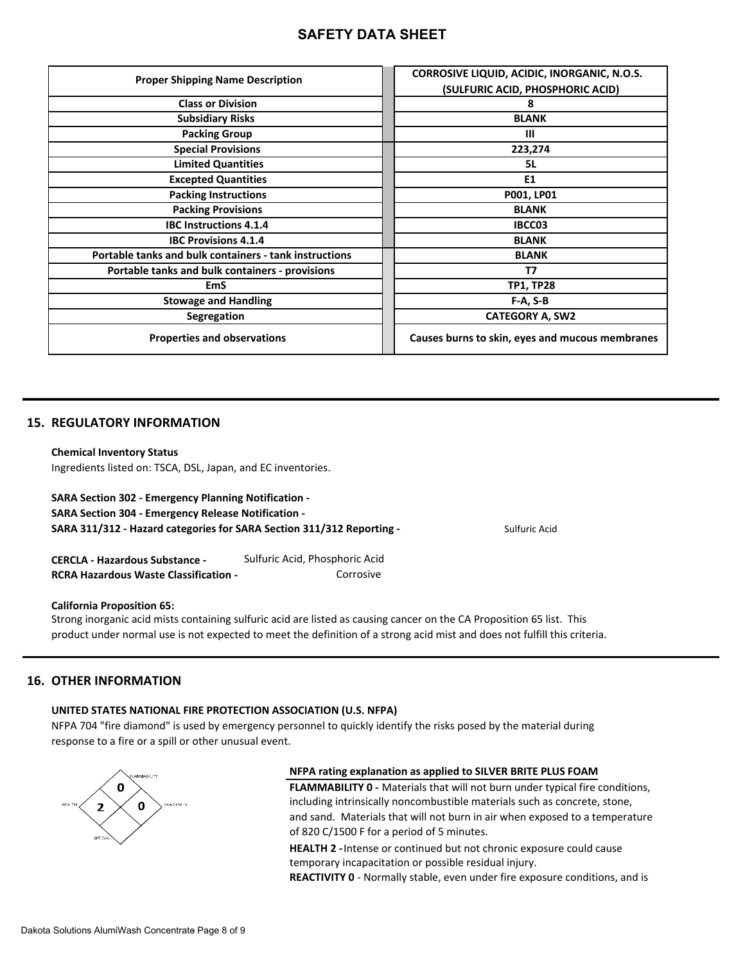| <b>Proper Shipping Name Description</b>                | CORROSIVE LIQUID, ACIDIC, INORGANIC, N.O.S.     |
|--------------------------------------------------------|-------------------------------------------------|
|                                                        | (SULFURIC ACID, PHOSPHORIC ACID)                |
| <b>Class or Division</b>                               | 8                                               |
| <b>Subsidiary Risks</b>                                | <b>BLANK</b>                                    |
| <b>Packing Group</b>                                   | Ш                                               |
| <b>Special Provisions</b>                              | 223,274                                         |
| <b>Limited Quantities</b>                              | 5L                                              |
| <b>Excepted Quantities</b>                             | E <sub>1</sub>                                  |
| <b>Packing Instructions</b>                            | P001, LP01                                      |
| <b>Packing Provisions</b>                              | <b>BLANK</b>                                    |
| <b>IBC Instructions 4.1.4</b>                          | IBCC03                                          |
| <b>IBC Provisions 4.1.4</b>                            | <b>BLANK</b>                                    |
| Portable tanks and bulk containers - tank instructions | <b>BLANK</b>                                    |
| Portable tanks and bulk containers - provisions        | T7                                              |
| <b>EmS</b>                                             | <b>TP1, TP28</b>                                |
| <b>Stowage and Handling</b>                            | $F-A, S-B$                                      |
| Segregation                                            | <b>CATEGORY A, SW2</b>                          |
| <b>Properties and observations</b>                     | Causes burns to skin, eyes and mucous membranes |

### **15. REGULATORY INFORMATION**

#### **Chemical Inventory Status**

Ingredients listed on: TSCA, DSL, Japan, and EC inventories.

# **SARA Section 302 - Emergency Planning Notification -**

**SARA Section 304 - Emergency Release Notification -** 

**SARA 311/312 - Hazard categories for SARA Section 311/312 Reporting -** Sulfuric Acid

**CERCLA - Hazardous Substance -** Sulfuric Acid, Phosphoric Acid **RCRA Hazardous Waste Classification - <br>
Corrosive** 

#### **California Proposition 65:**

Strong inorganic acid mists containing sulfuric acid are listed as causing cancer on the CA Proposition 65 list. This product under normal use is not expected to meet the definition of a strong acid mist and does not fulfill this criteria.

### **16. OTHER INFORMATION**

# **UNITED STATES NATIONAL FIRE PROTECTION ASSOCIATION (U.S. NFPA)**

NFPA 704 "fire diamond" is used by emergency personnel to quickly identify the risks posed by the material during response to a fire or a spill or other unusual event.



### **NFPA rating explanation as applied to SILVER BRITE PLUS FOAM**

**FLAMMABILITY 0 -** Materials that will not burn under typical fire conditions, including intrinsically noncombustible materials such as concrete, stone, and sand. Materials that will not burn in air when exposed to a temperature of 820 C/1500 F for a period of 5 minutes.

**HEALTH 2 -** Intense or continued but not chronic exposure could cause temporary incapacitation or possible residual injury.

**REACTIVITY 0** - Normally stable, even under fire exposure conditions, and is